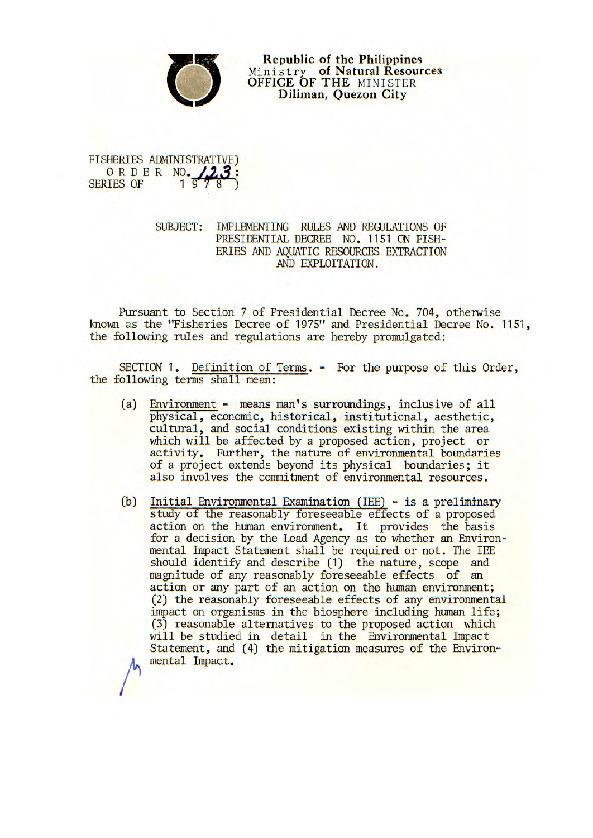

**Republic of the Philippines**  Ministry **of Natural Resources OFFICE OF THE MINISTER Diliman, Quezon City** 

## FISHERIES ADMINISTRATIVE) ORDER NO. 23:

## SUBJECT: IMPLEMENTING RULES AND REGULATIONS OF PRESIDENTIAL DECREE NO. 1151 ON FISH-ERIES AND AQUATIC RESOURCES EXTRACTION AND EXPLOITATION.

Pursuant to Section 7 of Presidential Decree No. 704, otherwise known as the "Fisheries Decree of 1975" and Presidential Decree No. 1151, the following rules and regulations are hereby promulgated:

SECTION 1. Definition of Terms. - For the purpose of this Order, the following terms shall mean:

- (a) Environment means man's surroundings, inclusive of all physical, economic, historical, institutional, aesthetic, cultural, and social conditions existing within the area which will be affected by a proposed action, project or activity. Further, the nature of environmental boundaries of a project extends beyond its physical boundaries; it also involves the commitment of environmental resources.
- (b) Initial Environmental Examination (lEE) is a preliminary study of the reasonably foreseeable effects of a proposed action on the human environment. It provides the basis for a decision by the Lead Agency as to whether an Environmental Impact Statement shall be required or not. The lEE should identify and describe (1) the nature, scope and magnitude of any reasonably foreseeable effects of an action or any part of an action on the human environment: (2) the reasonably foreseeable effects of any environmental impact on organisms in the biosphere including human life; (3) reasonable alternatives to the proposed action which will be studied in detail in the Environmental Impact Statement, and (4) the mitigation measures of the Environmental Impact.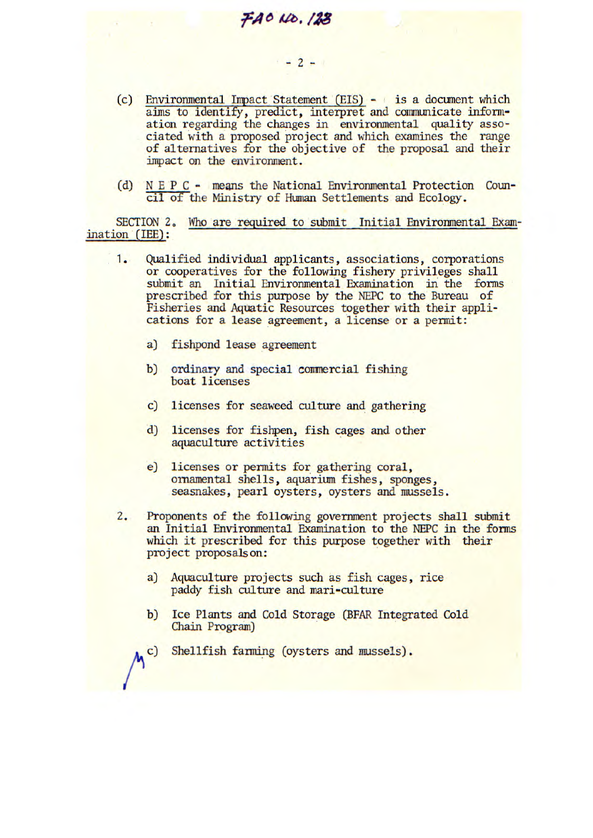(c) Environmental Impact Statement (EIS) - is a document which aims to identify, predict, interpret and communicate information regarding the changes in environmental quality associated with a proposed project and which examines the range of alternatives for the objective of the proposal and their impact on the environment.

 $-2-1$ 

FAO NO. 123

(d) N E P C - means the National Environmental Protection Council of the Ministry of Human Settlements and Ecology.

SECTION 2. Who are required to submit Initial Environmental Examination (lEE):

- 1. Qualified individual applicants, associations, corporations or cooperatives for the following fishery privileges shall submit an Initial Environmental Examination in the forms prescribed for this purpose by the NEPC to the Bureau of Fisheries and Aquatic Resources together with their applications for a lease agreement, a license or a permit:
	- a) fishpond lease agreement
	- b) ordinary and special commercial fishing boat licenses
	- c) licenses for seaweed culture and gathering
	- d) licenses for fishpen, fish cages and other aquaculture activities
	- e) licenses or permits for gathering coral, ornamental shells, aquarium fishes, sponges, seasnakes, pearl oysters, oysters and mussels.
- 2. Proponents of the following government projects shall submit an Initial Environmental Examination to the NEPC in the forms which it prescribed for this purpose together with their project proposals on:
	- a) Aquaculture projects such as fish cages, rice paddy fish culture and mari-culture
	- b) Ice Plants and Cold Storage (BFAR Integrated Cold Chain Program)
	- c) Shellfish farming (oysters and mussels).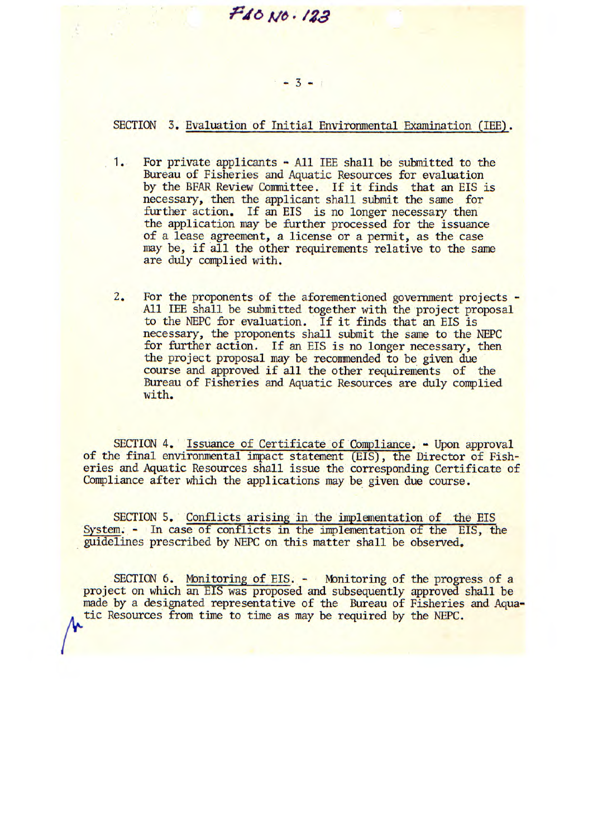## **7iO //ô• /29**

## $-3 - 1$

SECTION 3. Evaluation of Initial Environmental Examination (IEE).

- 1. For private applicants All lEE shall be submitted to the Bureau of Fisheries and Aquatic Resources for evaluation by the BFAR Review Committee. If it finds that an EIS is necessary, then the applicant shall submit the same for further action. If an EIS is no longer necessary then the application may be further processed for the issuance of a lease agreement, a license or a permit, as the case may be, if all the other requirements relative to the same are duly complied with.
- 2. For the proponents of the aforementioned government projects -All IEE shall be submitted together with the project proposal to the NEPC for evaluation. If it finds that an EIS is necessary, the proponents shall submit the same to the NEPC for further action. If an EIS is no longer necessary, then the project proposal may be recommended to be given due course and approved if all the other requirements of the Bureau of Fisheries and Aquatic Resources are duly complied with.

SECTION 4. Issuance of Certificate of Compliance. - Upon approval of the final environmental impact statement (EIS), the Director of Fisheries and Aquatic Resources shall issue the corresponding Certificate of Compliance after which the applications may be given due course.

SECTION 5. Conflicts arising in the implementation of the EIS System. - In case of conflicts in the implementation of the EIS, the guidelines prescribed by NEPC on this matter shall be observed.

SECTION 6. Monitoring of EIS. - Monitoring of the progress of a project on which an EIS was proposed and subsequently approved shall be made by a designated representative of the Bureau of Fisheries and Aquatic Resources from time to time as may be required by the NEPC.